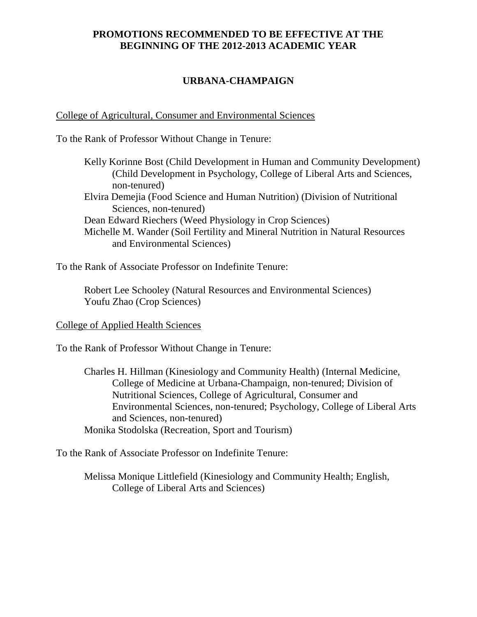# **PROMOTIONS RECOMMENDED TO BE EFFECTIVE AT THE BEGINNING OF THE 2012-2013 ACADEMIC YEAR**

# **URBANA-CHAMPAIGN**

College of Agricultural, Consumer and Environmental Sciences

To the Rank of Professor Without Change in Tenure:

Kelly Korinne Bost (Child Development in Human and Community Development) (Child Development in Psychology, College of Liberal Arts and Sciences, non-tenured) Elvira Demejia (Food Science and Human Nutrition) (Division of Nutritional Sciences, non-tenured) Dean Edward Riechers (Weed Physiology in Crop Sciences) Michelle M. Wander (Soil Fertility and Mineral Nutrition in Natural Resources and Environmental Sciences)

To the Rank of Associate Professor on Indefinite Tenure:

Robert Lee Schooley (Natural Resources and Environmental Sciences) Youfu Zhao (Crop Sciences)

# College of Applied Health Sciences

To the Rank of Professor Without Change in Tenure:

Charles H. Hillman (Kinesiology and Community Health) (Internal Medicine, College of Medicine at Urbana-Champaign, non-tenured; Division of Nutritional Sciences, College of Agricultural, Consumer and Environmental Sciences, non-tenured; Psychology, College of Liberal Arts and Sciences, non-tenured) Monika Stodolska (Recreation, Sport and Tourism)

To the Rank of Associate Professor on Indefinite Tenure:

Melissa Monique Littlefield (Kinesiology and Community Health; English, College of Liberal Arts and Sciences)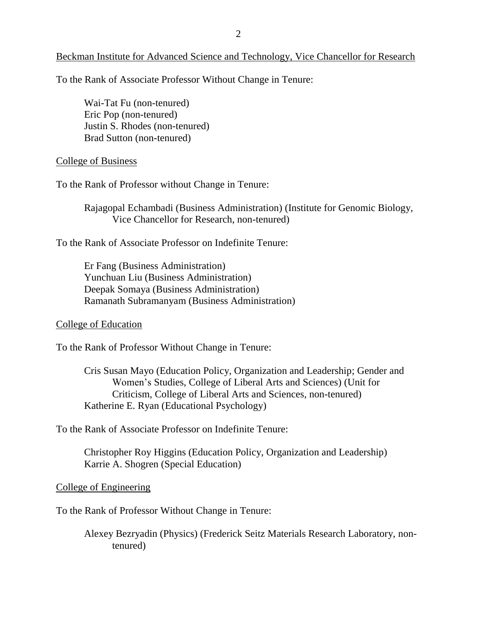Beckman Institute for Advanced Science and Technology, Vice Chancellor for Research

To the Rank of Associate Professor Without Change in Tenure:

Wai-Tat Fu (non-tenured) Eric Pop (non-tenured) Justin S. Rhodes (non-tenured) Brad Sutton (non-tenured)

### College of Business

To the Rank of Professor without Change in Tenure:

Rajagopal Echambadi (Business Administration) (Institute for Genomic Biology, Vice Chancellor for Research, non-tenured)

To the Rank of Associate Professor on Indefinite Tenure:

Er Fang (Business Administration) Yunchuan Liu (Business Administration) Deepak Somaya (Business Administration) Ramanath Subramanyam (Business Administration)

### College of Education

To the Rank of Professor Without Change in Tenure:

Cris Susan Mayo (Education Policy, Organization and Leadership; Gender and Women's Studies, College of Liberal Arts and Sciences) (Unit for Criticism, College of Liberal Arts and Sciences, non-tenured) Katherine E. Ryan (Educational Psychology)

To the Rank of Associate Professor on Indefinite Tenure:

Christopher Roy Higgins (Education Policy, Organization and Leadership) Karrie A. Shogren (Special Education)

#### College of Engineering

To the Rank of Professor Without Change in Tenure:

Alexey Bezryadin (Physics) (Frederick Seitz Materials Research Laboratory, nontenured)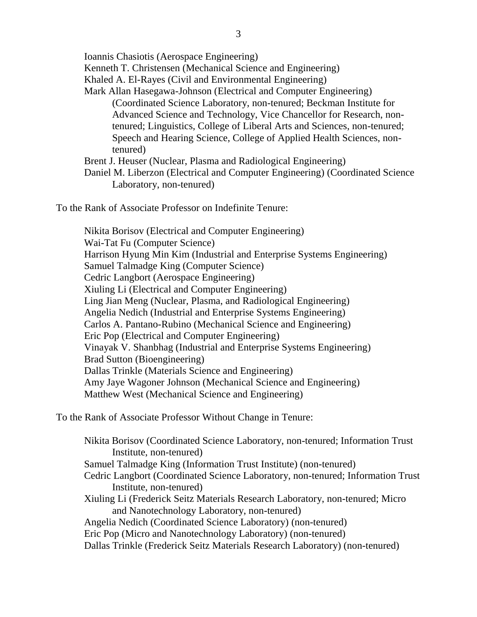Ioannis Chasiotis (Aerospace Engineering) Kenneth T. Christensen (Mechanical Science and Engineering) Khaled A. El-Rayes (Civil and Environmental Engineering) Mark Allan Hasegawa-Johnson (Electrical and Computer Engineering) (Coordinated Science Laboratory, non-tenured; Beckman Institute for Advanced Science and Technology, Vice Chancellor for Research, nontenured; Linguistics, College of Liberal Arts and Sciences, non-tenured; Speech and Hearing Science, College of Applied Health Sciences, nontenured) Brent J. Heuser (Nuclear, Plasma and Radiological Engineering) Daniel M. Liberzon (Electrical and Computer Engineering) (Coordinated Science

Laboratory, non-tenured)

To the Rank of Associate Professor on Indefinite Tenure:

Nikita Borisov (Electrical and Computer Engineering) Wai-Tat Fu (Computer Science) Harrison Hyung Min Kim (Industrial and Enterprise Systems Engineering) Samuel Talmadge King (Computer Science) Cedric Langbort (Aerospace Engineering) Xiuling Li (Electrical and Computer Engineering) Ling Jian Meng (Nuclear, Plasma, and Radiological Engineering) Angelia Nedich (Industrial and Enterprise Systems Engineering) Carlos A. Pantano-Rubino (Mechanical Science and Engineering) Eric Pop (Electrical and Computer Engineering) Vinayak V. Shanbhag (Industrial and Enterprise Systems Engineering) Brad Sutton (Bioengineering) Dallas Trinkle (Materials Science and Engineering) Amy Jaye Wagoner Johnson (Mechanical Science and Engineering) Matthew West (Mechanical Science and Engineering)

To the Rank of Associate Professor Without Change in Tenure:

Nikita Borisov (Coordinated Science Laboratory, non-tenured; Information Trust Institute, non-tenured) Samuel Talmadge King (Information Trust Institute) (non-tenured) Cedric Langbort (Coordinated Science Laboratory, non-tenured; Information Trust Institute, non-tenured) Xiuling Li (Frederick Seitz Materials Research Laboratory, non-tenured; Micro and Nanotechnology Laboratory, non-tenured) Angelia Nedich (Coordinated Science Laboratory) (non-tenured) Eric Pop (Micro and Nanotechnology Laboratory) (non-tenured) Dallas Trinkle (Frederick Seitz Materials Research Laboratory) (non-tenured)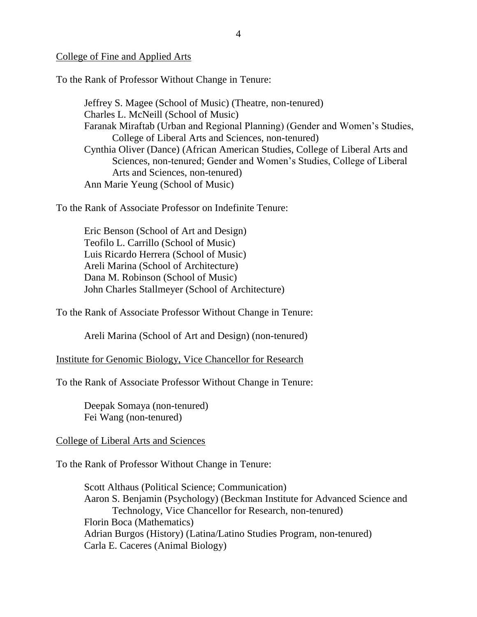## College of Fine and Applied Arts

To the Rank of Professor Without Change in Tenure:

Jeffrey S. Magee (School of Music) (Theatre, non-tenured) Charles L. McNeill (School of Music) Faranak Miraftab (Urban and Regional Planning) (Gender and Women's Studies, College of Liberal Arts and Sciences, non-tenured) Cynthia Oliver (Dance) (African American Studies, College of Liberal Arts and Sciences, non-tenured; Gender and Women's Studies, College of Liberal Arts and Sciences, non-tenured) Ann Marie Yeung (School of Music)

To the Rank of Associate Professor on Indefinite Tenure:

Eric Benson (School of Art and Design) Teofilo L. Carrillo (School of Music) Luis Ricardo Herrera (School of Music) Areli Marina (School of Architecture) Dana M. Robinson (School of Music) John Charles Stallmeyer (School of Architecture)

To the Rank of Associate Professor Without Change in Tenure:

Areli Marina (School of Art and Design) (non-tenured)

Institute for Genomic Biology, Vice Chancellor for Research

To the Rank of Associate Professor Without Change in Tenure:

Deepak Somaya (non-tenured) Fei Wang (non-tenured)

## College of Liberal Arts and Sciences

To the Rank of Professor Without Change in Tenure:

Scott Althaus (Political Science; Communication) Aaron S. Benjamin (Psychology) (Beckman Institute for Advanced Science and Technology, Vice Chancellor for Research, non-tenured) Florin Boca (Mathematics) Adrian Burgos (History) (Latina/Latino Studies Program, non-tenured) Carla E. Caceres (Animal Biology)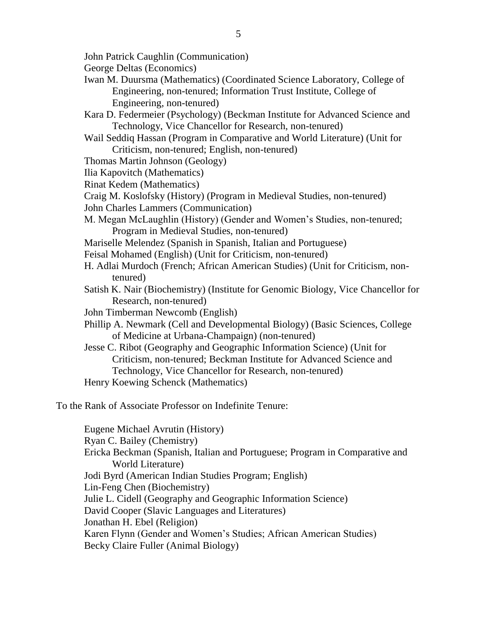- John Patrick Caughlin (Communication)
- George Deltas (Economics)
- Iwan M. Duursma (Mathematics) (Coordinated Science Laboratory, College of Engineering, non-tenured; Information Trust Institute, College of Engineering, non-tenured)
- Kara D. Federmeier (Psychology) (Beckman Institute for Advanced Science and Technology, Vice Chancellor for Research, non-tenured)
- Wail Seddiq Hassan (Program in Comparative and World Literature) (Unit for Criticism, non-tenured; English, non-tenured)
- Thomas Martin Johnson (Geology)
- Ilia Kapovitch (Mathematics)
- Rinat Kedem (Mathematics)
- Craig M. Koslofsky (History) (Program in Medieval Studies, non-tenured)
- John Charles Lammers (Communication)
- M. Megan McLaughlin (History) (Gender and Women's Studies, non-tenured; Program in Medieval Studies, non-tenured)
- Mariselle Melendez (Spanish in Spanish, Italian and Portuguese)
- Feisal Mohamed (English) (Unit for Criticism, non-tenured)
- H. Adlai Murdoch (French; African American Studies) (Unit for Criticism, nontenured)
- Satish K. Nair (Biochemistry) (Institute for Genomic Biology, Vice Chancellor for Research, non-tenured)
- John Timberman Newcomb (English)
- Phillip A. Newmark (Cell and Developmental Biology) (Basic Sciences, College of Medicine at Urbana-Champaign) (non-tenured)
- Jesse C. Ribot (Geography and Geographic Information Science) (Unit for Criticism, non-tenured; Beckman Institute for Advanced Science and Technology, Vice Chancellor for Research, non-tenured) Henry Koewing Schenck (Mathematics)

Eugene Michael Avrutin (History) Ryan C. Bailey (Chemistry) Ericka Beckman (Spanish, Italian and Portuguese; Program in Comparative and World Literature) Jodi Byrd (American Indian Studies Program; English) Lin-Feng Chen (Biochemistry) Julie L. Cidell (Geography and Geographic Information Science) David Cooper (Slavic Languages and Literatures) Jonathan H. Ebel (Religion) Karen Flynn (Gender and Women's Studies; African American Studies) Becky Claire Fuller (Animal Biology)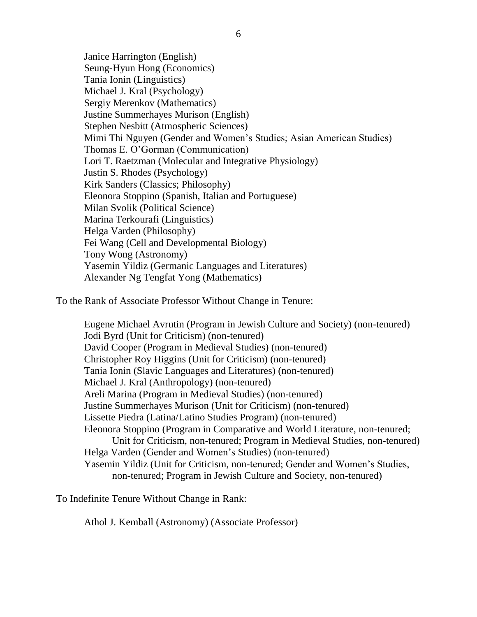Janice Harrington (English) Seung-Hyun Hong (Economics) Tania Ionin (Linguistics) Michael J. Kral (Psychology) Sergiy Merenkov (Mathematics) Justine Summerhayes Murison (English) Stephen Nesbitt (Atmospheric Sciences) Mimi Thi Nguyen (Gender and Women's Studies; Asian American Studies) Thomas E. O'Gorman (Communication) Lori T. Raetzman (Molecular and Integrative Physiology) Justin S. Rhodes (Psychology) Kirk Sanders (Classics; Philosophy) Eleonora Stoppino (Spanish, Italian and Portuguese) Milan Svolik (Political Science) Marina Terkourafi (Linguistics) Helga Varden (Philosophy) Fei Wang (Cell and Developmental Biology) Tony Wong (Astronomy) Yasemin Yildiz (Germanic Languages and Literatures) Alexander Ng Tengfat Yong (Mathematics)

To the Rank of Associate Professor Without Change in Tenure:

Eugene Michael Avrutin (Program in Jewish Culture and Society) (non-tenured) Jodi Byrd (Unit for Criticism) (non-tenured) David Cooper (Program in Medieval Studies) (non-tenured) Christopher Roy Higgins (Unit for Criticism) (non-tenured) Tania Ionin (Slavic Languages and Literatures) (non-tenured) Michael J. Kral (Anthropology) (non-tenured) Areli Marina (Program in Medieval Studies) (non-tenured) Justine Summerhayes Murison (Unit for Criticism) (non-tenured) Lissette Piedra (Latina/Latino Studies Program) (non-tenured) Eleonora Stoppino (Program in Comparative and World Literature, non-tenured; Unit for Criticism, non-tenured; Program in Medieval Studies, non-tenured) Helga Varden (Gender and Women's Studies) (non-tenured) Yasemin Yildiz (Unit for Criticism, non-tenured; Gender and Women's Studies, non-tenured; Program in Jewish Culture and Society, non-tenured)

To Indefinite Tenure Without Change in Rank:

Athol J. Kemball (Astronomy) (Associate Professor)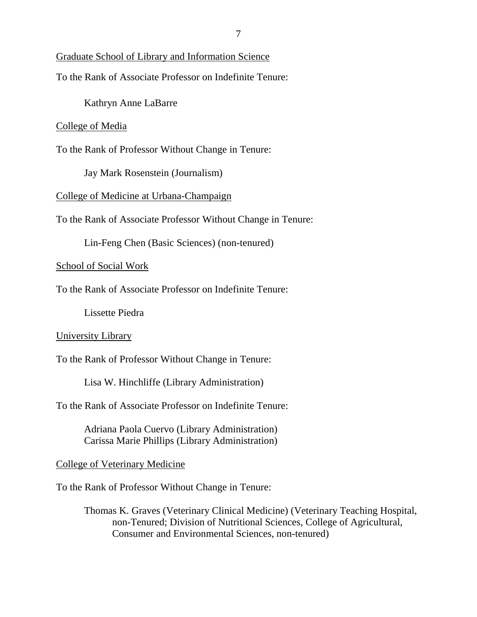# Graduate School of Library and Information Science

To the Rank of Associate Professor on Indefinite Tenure:

Kathryn Anne LaBarre

### College of Media

To the Rank of Professor Without Change in Tenure:

Jay Mark Rosenstein (Journalism)

College of Medicine at Urbana-Champaign

To the Rank of Associate Professor Without Change in Tenure:

Lin-Feng Chen (Basic Sciences) (non-tenured)

## School of Social Work

To the Rank of Associate Professor on Indefinite Tenure:

Lissette Piedra

# University Library

To the Rank of Professor Without Change in Tenure:

Lisa W. Hinchliffe (Library Administration)

To the Rank of Associate Professor on Indefinite Tenure:

Adriana Paola Cuervo (Library Administration) Carissa Marie Phillips (Library Administration)

### College of Veterinary Medicine

To the Rank of Professor Without Change in Tenure:

Thomas K. Graves (Veterinary Clinical Medicine) (Veterinary Teaching Hospital, non-Tenured; Division of Nutritional Sciences, College of Agricultural, Consumer and Environmental Sciences, non-tenured)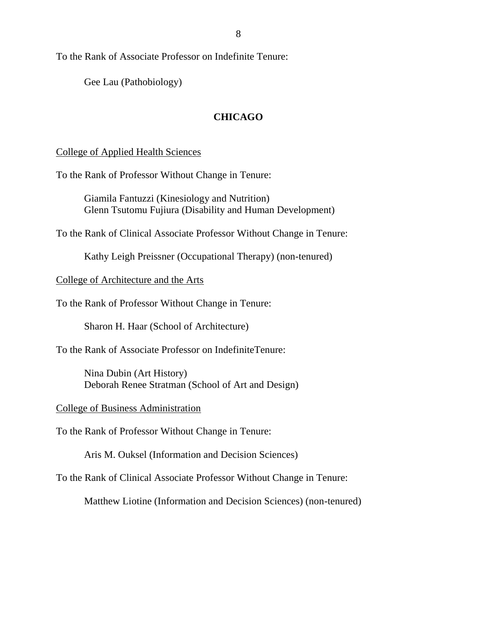Gee Lau (Pathobiology)

# **CHICAGO**

# College of Applied Health Sciences

To the Rank of Professor Without Change in Tenure:

Giamila Fantuzzi (Kinesiology and Nutrition) Glenn Tsutomu Fujiura (Disability and Human Development)

To the Rank of Clinical Associate Professor Without Change in Tenure:

Kathy Leigh Preissner (Occupational Therapy) (non-tenured)

# College of Architecture and the Arts

To the Rank of Professor Without Change in Tenure:

Sharon H. Haar (School of Architecture)

To the Rank of Associate Professor on IndefiniteTenure:

Nina Dubin (Art History) Deborah Renee Stratman (School of Art and Design)

College of Business Administration

To the Rank of Professor Without Change in Tenure:

Aris M. Ouksel (Information and Decision Sciences)

To the Rank of Clinical Associate Professor Without Change in Tenure:

Matthew Liotine (Information and Decision Sciences) (non-tenured)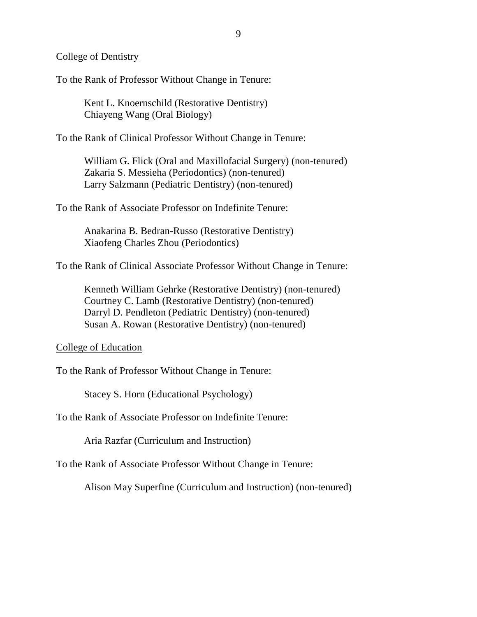### College of Dentistry

To the Rank of Professor Without Change in Tenure:

Kent L. Knoernschild (Restorative Dentistry) Chiayeng Wang (Oral Biology)

To the Rank of Clinical Professor Without Change in Tenure:

William G. Flick (Oral and Maxillofacial Surgery) (non-tenured) Zakaria S. Messieha (Periodontics) (non-tenured) Larry Salzmann (Pediatric Dentistry) (non-tenured)

To the Rank of Associate Professor on Indefinite Tenure:

Anakarina B. Bedran-Russo (Restorative Dentistry) Xiaofeng Charles Zhou (Periodontics)

To the Rank of Clinical Associate Professor Without Change in Tenure:

Kenneth William Gehrke (Restorative Dentistry) (non-tenured) Courtney C. Lamb (Restorative Dentistry) (non-tenured) Darryl D. Pendleton (Pediatric Dentistry) (non-tenured) Susan A. Rowan (Restorative Dentistry) (non-tenured)

# College of Education

To the Rank of Professor Without Change in Tenure:

Stacey S. Horn (Educational Psychology)

To the Rank of Associate Professor on Indefinite Tenure:

Aria Razfar (Curriculum and Instruction)

To the Rank of Associate Professor Without Change in Tenure:

Alison May Superfine (Curriculum and Instruction) (non-tenured)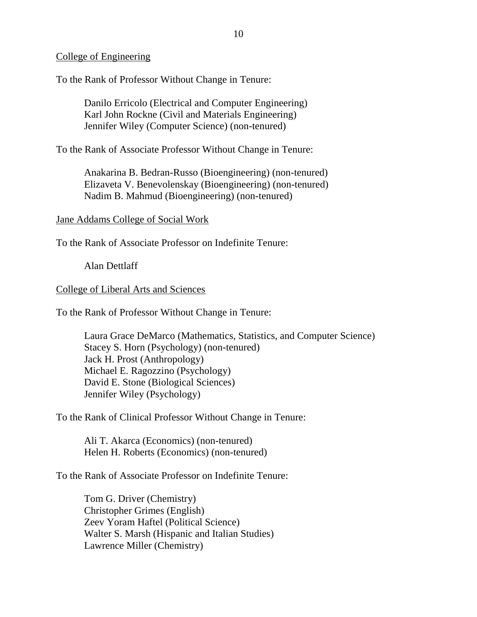## College of Engineering

To the Rank of Professor Without Change in Tenure:

Danilo Erricolo (Electrical and Computer Engineering) Karl John Rockne (Civil and Materials Engineering) Jennifer Wiley (Computer Science) (non-tenured)

To the Rank of Associate Professor Without Change in Tenure:

Anakarina B. Bedran-Russo (Bioengineering) (non-tenured) Elizaveta V. Benevolenskay (Bioengineering) (non-tenured) Nadim B. Mahmud (Bioengineering) (non-tenured)

### Jane Addams College of Social Work

To the Rank of Associate Professor on Indefinite Tenure:

Alan Dettlaff

### College of Liberal Arts and Sciences

To the Rank of Professor Without Change in Tenure:

Laura Grace DeMarco (Mathematics, Statistics, and Computer Science) Stacey S. Horn (Psychology) (non-tenured) Jack H. Prost (Anthropology) Michael E. Ragozzino (Psychology) David E. Stone (Biological Sciences) Jennifer Wiley (Psychology)

To the Rank of Clinical Professor Without Change in Tenure:

Ali T. Akarca (Economics) (non-tenured) Helen H. Roberts (Economics) (non-tenured)

To the Rank of Associate Professor on Indefinite Tenure:

Tom G. Driver (Chemistry) Christopher Grimes (English) Zeev Yoram Haftel (Political Science) Walter S. Marsh (Hispanic and Italian Studies) Lawrence Miller (Chemistry)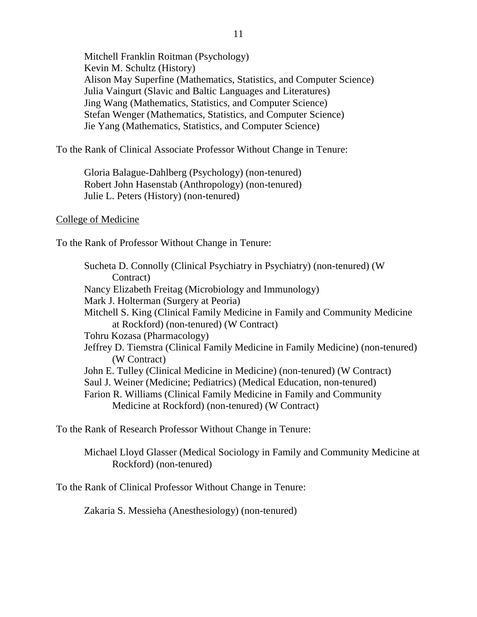Mitchell Franklin Roitman (Psychology) Kevin M. Schultz (History) Alison May Superfine (Mathematics, Statistics, and Computer Science) Julia Vaingurt (Slavic and Baltic Languages and Literatures) Jing Wang (Mathematics, Statistics, and Computer Science) Stefan Wenger (Mathematics, Statistics, and Computer Science) Jie Yang (Mathematics, Statistics, and Computer Science)

To the Rank of Clinical Associate Professor Without Change in Tenure:

Gloria Balague-Dahlberg (Psychology) (non-tenured) Robert John Hasenstab (Anthropology) (non-tenured) Julie L. Peters (History) (non-tenured)

## College of Medicine

To the Rank of Professor Without Change in Tenure:

Sucheta D. Connolly (Clinical Psychiatry in Psychiatry) (non-tenured) (W Contract) Nancy Elizabeth Freitag (Microbiology and Immunology) Mark J. Holterman (Surgery at Peoria) Mitchell S. King (Clinical Family Medicine in Family and Community Medicine at Rockford) (non-tenured) (W Contract) Tohru Kozasa (Pharmacology) Jeffrey D. Tiemstra (Clinical Family Medicine in Family Medicine) (non-tenured) (W Contract) John E. Tulley (Clinical Medicine in Medicine) (non-tenured) (W Contract) Saul J. Weiner (Medicine; Pediatrics) (Medical Education, non-tenured) Farion R. Williams (Clinical Family Medicine in Family and Community Medicine at Rockford) (non-tenured) (W Contract)

To the Rank of Research Professor Without Change in Tenure:

Michael Lloyd Glasser (Medical Sociology in Family and Community Medicine at Rockford) (non-tenured)

To the Rank of Clinical Professor Without Change in Tenure:

Zakaria S. Messieha (Anesthesiology) (non-tenured)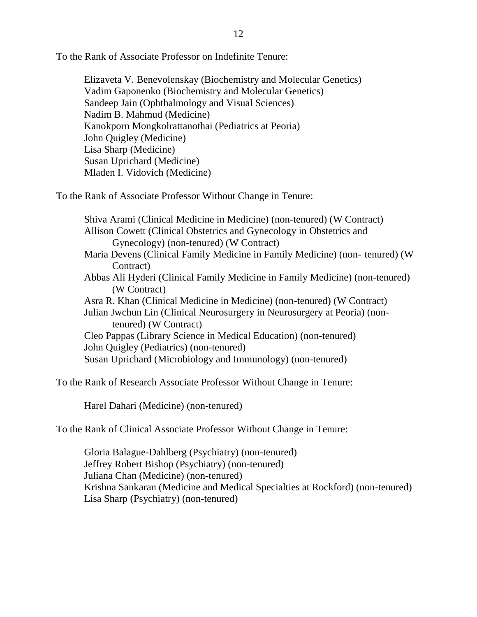Elizaveta V. Benevolenskay (Biochemistry and Molecular Genetics) Vadim Gaponenko (Biochemistry and Molecular Genetics) Sandeep Jain (Ophthalmology and Visual Sciences) Nadim B. Mahmud (Medicine) Kanokporn Mongkolrattanothai (Pediatrics at Peoria) John Quigley (Medicine) Lisa Sharp (Medicine) Susan Uprichard (Medicine) Mladen I. Vidovich (Medicine)

To the Rank of Associate Professor Without Change in Tenure:

Shiva Arami (Clinical Medicine in Medicine) (non-tenured) (W Contract) Allison Cowett (Clinical Obstetrics and Gynecology in Obstetrics and Gynecology) (non-tenured) (W Contract) Maria Devens (Clinical Family Medicine in Family Medicine) (non- tenured) (W Contract) Abbas Ali Hyderi (Clinical Family Medicine in Family Medicine) (non-tenured) (W Contract) Asra R. Khan (Clinical Medicine in Medicine) (non-tenured) (W Contract) Julian Jwchun Lin (Clinical Neurosurgery in Neurosurgery at Peoria) (nontenured) (W Contract) Cleo Pappas (Library Science in Medical Education) (non-tenured) John Quigley (Pediatrics) (non-tenured) Susan Uprichard (Microbiology and Immunology) (non-tenured)

To the Rank of Research Associate Professor Without Change in Tenure:

Harel Dahari (Medicine) (non-tenured)

To the Rank of Clinical Associate Professor Without Change in Tenure:

Gloria Balague-Dahlberg (Psychiatry) (non-tenured) Jeffrey Robert Bishop (Psychiatry) (non-tenured) Juliana Chan (Medicine) (non-tenured) Krishna Sankaran (Medicine and Medical Specialties at Rockford) (non-tenured) Lisa Sharp (Psychiatry) (non-tenured)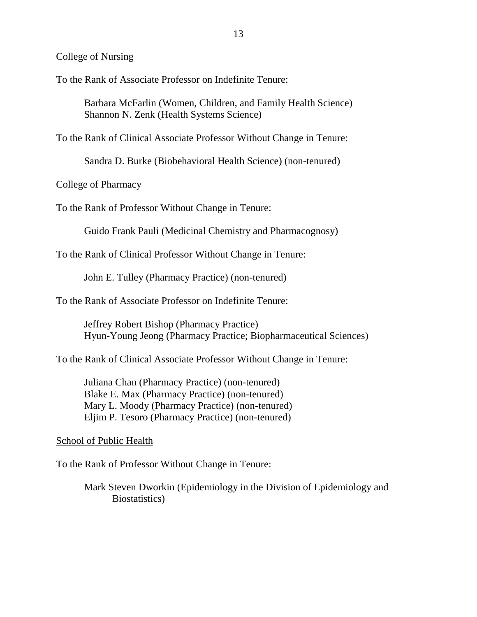### College of Nursing

To the Rank of Associate Professor on Indefinite Tenure:

Barbara McFarlin (Women, Children, and Family Health Science) Shannon N. Zenk (Health Systems Science)

To the Rank of Clinical Associate Professor Without Change in Tenure:

Sandra D. Burke (Biobehavioral Health Science) (non-tenured)

College of Pharmacy

To the Rank of Professor Without Change in Tenure:

Guido Frank Pauli (Medicinal Chemistry and Pharmacognosy)

To the Rank of Clinical Professor Without Change in Tenure:

John E. Tulley (Pharmacy Practice) (non-tenured)

To the Rank of Associate Professor on Indefinite Tenure:

Jeffrey Robert Bishop (Pharmacy Practice) Hyun-Young Jeong (Pharmacy Practice; Biopharmaceutical Sciences)

To the Rank of Clinical Associate Professor Without Change in Tenure:

Juliana Chan (Pharmacy Practice) (non-tenured) Blake E. Max (Pharmacy Practice) (non-tenured) Mary L. Moody (Pharmacy Practice) (non-tenured) Eljim P. Tesoro (Pharmacy Practice) (non-tenured)

#### School of Public Health

To the Rank of Professor Without Change in Tenure:

Mark Steven Dworkin (Epidemiology in the Division of Epidemiology and Biostatistics)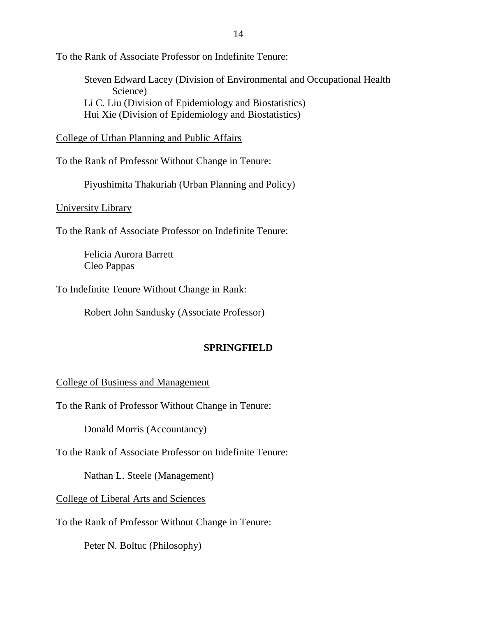Steven Edward Lacey (Division of Environmental and Occupational Health Science) Li C. Liu (Division of Epidemiology and Biostatistics) Hui Xie (Division of Epidemiology and Biostatistics)

College of Urban Planning and Public Affairs

To the Rank of Professor Without Change in Tenure:

Piyushimita Thakuriah (Urban Planning and Policy)

University Library

To the Rank of Associate Professor on Indefinite Tenure:

Felicia Aurora Barrett Cleo Pappas

To Indefinite Tenure Without Change in Rank:

Robert John Sandusky (Associate Professor)

# **SPRINGFIELD**

### College of Business and Management

To the Rank of Professor Without Change in Tenure:

Donald Morris (Accountancy)

To the Rank of Associate Professor on Indefinite Tenure:

Nathan L. Steele (Management)

College of Liberal Arts and Sciences

To the Rank of Professor Without Change in Tenure:

Peter N. Boltuc (Philosophy)